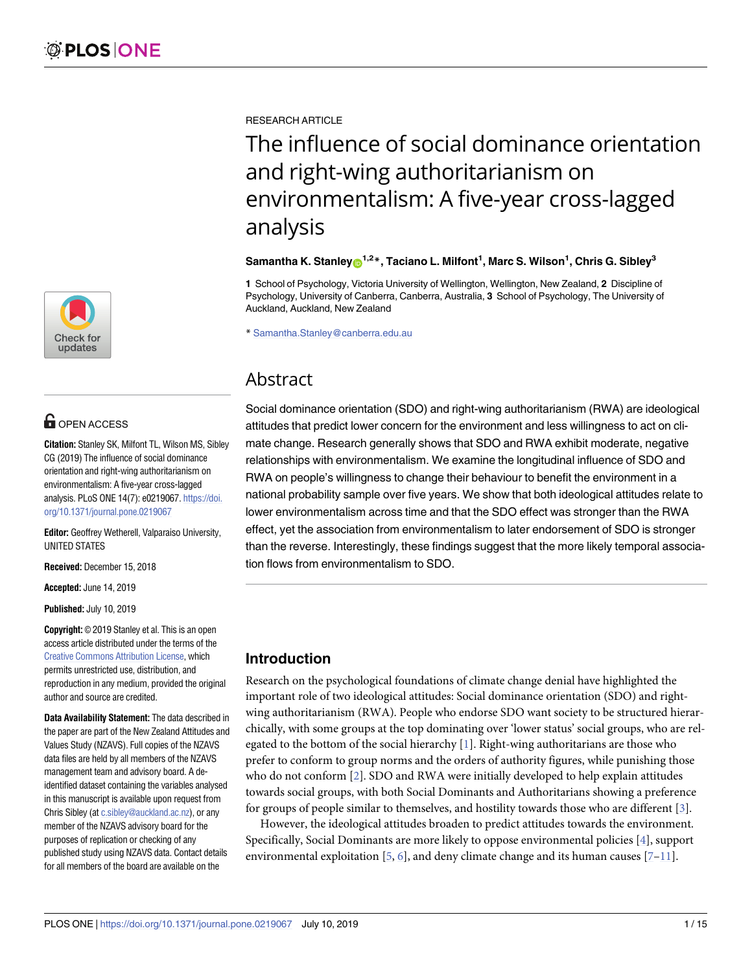

# **OPEN ACCESS**

**Citation:** Stanley SK, Milfont TL, Wilson MS, Sibley CG (2019) The influence of social dominance orientation and right-wing authoritarianism on environmentalism: A five-year cross-lagged analysis. PLoS ONE 14(7): e0219067. [https://doi.](https://doi.org/10.1371/journal.pone.0219067) [org/10.1371/journal.pone.0219067](https://doi.org/10.1371/journal.pone.0219067)

**Editor:** Geoffrey Wetherell, Valparaiso University, UNITED STATES

**Received:** December 15, 2018

**Accepted:** June 14, 2019

**Published:** July 10, 2019

**Copyright:** © 2019 Stanley et al. This is an open access article distributed under the terms of the Creative Commons [Attribution](http://creativecommons.org/licenses/by/4.0/) License, which permits unrestricted use, distribution, and reproduction in any medium, provided the original author and source are credited.

**Data Availability Statement:** The data described in the paper are part of the New Zealand Attitudes and Values Study (NZAVS). Full copies of the NZAVS data files are held by all members of the NZAVS management team and advisory board. A deidentified dataset containing the variables analysed in this manuscript is available upon request from Chris Sibley (at [c.sibley@auckland.ac.nz](mailto:c.sibley@auckland.ac.nz)), or any member of the NZAVS advisory board for the purposes of replication or checking of any published study using NZAVS data. Contact details for all members of the board are available on the

<span id="page-0-0"></span>RESEARCH ARTICLE

The influence of social dominance orientation and right-wing authoritarianism on environmentalism: A five-year cross-lagged analysis

## $\blacksquare$  **Samantha K. Stanley** $\blacksquare^{1,2*}$ **, Taciano L. Milfont** $^1$ **, Marc S. Wilson** $^1$ **, Chris G. Sibley** $^3$

**1** School of Psychology, Victoria University of Wellington, Wellington, New Zealand, **2** Discipline of Psychology, University of Canberra, Canberra, Australia, **3** School of Psychology, The University of Auckland, Auckland, New Zealand

\* Samantha.Stanley@canberra.edu.au

## Abstract

Social dominance orientation (SDO) and right-wing authoritarianism (RWA) are ideological attitudes that predict lower concern for the environment and less willingness to act on climate change. Research generally shows that SDO and RWA exhibit moderate, negative relationships with environmentalism. We examine the longitudinal influence of SDO and RWA on people's willingness to change their behaviour to benefit the environment in a national probability sample over five years. We show that both ideological attitudes relate to lower environmentalism across time and that the SDO effect was stronger than the RWA effect, yet the association from environmentalism to later endorsement of SDO is stronger than the reverse. Interestingly, these findings suggest that the more likely temporal association flows from environmentalism to SDO.

## **Introduction**

Research on the psychological foundations of climate change denial have highlighted the important role of two ideological attitudes: Social dominance orientation (SDO) and rightwing authoritarianism (RWA). People who endorse SDO want society to be structured hierarchically, with some groups at the top dominating over 'lower status' social groups, who are relegated to the bottom of the social hierarchy [\[1](#page-12-0)]. Right-wing authoritarians are those who prefer to conform to group norms and the orders of authority figures, while punishing those who do not conform [[2\]](#page-12-0). SDO and RWA were initially developed to help explain attitudes towards social groups, with both Social Dominants and Authoritarians showing a preference for groups of people similar to themselves, and hostility towards those who are different [\[3](#page-12-0)].

However, the ideological attitudes broaden to predict attitudes towards the environment. Specifically, Social Dominants are more likely to oppose environmental policies [\[4](#page-12-0)], support environmental exploitation [[5](#page-12-0), [6](#page-12-0)], and deny climate change and its human causes  $[7-11]$  $[7-11]$  $[7-11]$  $[7-11]$ .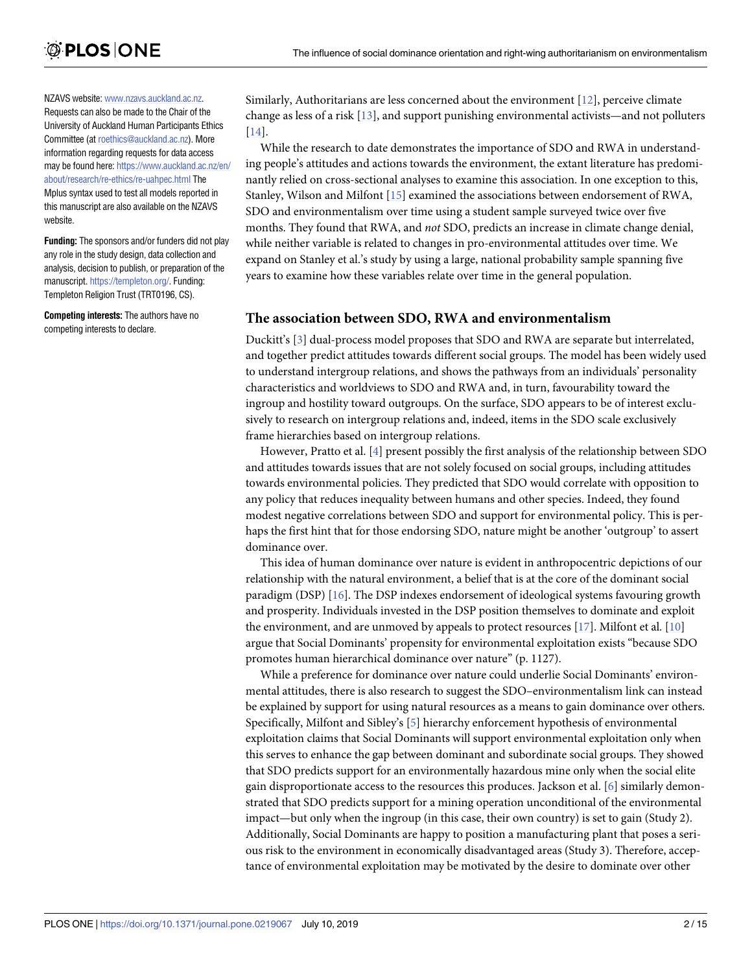<span id="page-1-0"></span>NZAVS website: [www.nzavs.auckland.ac.nz](http://www.nzavs.auckland.ac.nz). Requests can also be made to the Chair of the University of Auckland Human Participants Ethics Committee (at [roethics@auckland.ac.nz](mailto:roethics@auckland.ac.nz)). More information regarding requests for data access may be found here: [https://www.auckland.ac.nz/en/](https://www.auckland.ac.nz/en/about/research/re-ethics/re-uahpec.html) [about/research/re-ethics/re-uahpec.html](https://www.auckland.ac.nz/en/about/research/re-ethics/re-uahpec.html) The Mplus syntax used to test all models reported in this manuscript are also available on the NZAVS website.

**Funding:** The sponsors and/or funders did not play any role in the study design, data collection and analysis, decision to publish, or preparation of the manuscript. [https://templeton.org/.](https://templeton.org/) Funding: Templeton Religion Trust (TRT0196, CS).

**Competing interests:** The authors have no competing interests to declare.

Similarly, Authoritarians are less concerned about the environment [[12](#page-12-0)], perceive climate change as less of a risk [[13](#page-12-0)], and support punishing environmental activists—and not polluters [\[14\]](#page-12-0).

While the research to date demonstrates the importance of SDO and RWA in understanding people's attitudes and actions towards the environment, the extant literature has predominantly relied on cross-sectional analyses to examine this association. In one exception to this, Stanley, Wilson and Milfont [[15](#page-12-0)] examined the associations between endorsement of RWA, SDO and environmentalism over time using a student sample surveyed twice over five months. They found that RWA, and *not* SDO, predicts an increase in climate change denial, while neither variable is related to changes in pro-environmental attitudes over time. We expand on Stanley et al.'s study by using a large, national probability sample spanning five years to examine how these variables relate over time in the general population.

#### **The association between SDO, RWA and environmentalism**

Duckitt's [[3\]](#page-12-0) dual-process model proposes that SDO and RWA are separate but interrelated, and together predict attitudes towards different social groups. The model has been widely used to understand intergroup relations, and shows the pathways from an individuals' personality characteristics and worldviews to SDO and RWA and, in turn, favourability toward the ingroup and hostility toward outgroups. On the surface, SDO appears to be of interest exclusively to research on intergroup relations and, indeed, items in the SDO scale exclusively frame hierarchies based on intergroup relations.

However, Pratto et al. [[4](#page-12-0)] present possibly the first analysis of the relationship between SDO and attitudes towards issues that are not solely focused on social groups, including attitudes towards environmental policies. They predicted that SDO would correlate with opposition to any policy that reduces inequality between humans and other species. Indeed, they found modest negative correlations between SDO and support for environmental policy. This is perhaps the first hint that for those endorsing SDO, nature might be another 'outgroup' to assert dominance over.

This idea of human dominance over nature is evident in anthropocentric depictions of our relationship with the natural environment, a belief that is at the core of the dominant social paradigm (DSP) [[16](#page-13-0)]. The DSP indexes endorsement of ideological systems favouring growth and prosperity. Individuals invested in the DSP position themselves to dominate and exploit the environment, and are unmoved by appeals to protect resources  $[17]$  $[17]$  $[17]$ . Milfont et al.  $[10]$  $[10]$  $[10]$ argue that Social Dominants' propensity for environmental exploitation exists "because SDO promotes human hierarchical dominance over nature" (p. 1127).

While a preference for dominance over nature could underlie Social Dominants' environmental attitudes, there is also research to suggest the SDO–environmentalism link can instead be explained by support for using natural resources as a means to gain dominance over others. Specifically, Milfont and Sibley's [\[5\]](#page-12-0) hierarchy enforcement hypothesis of environmental exploitation claims that Social Dominants will support environmental exploitation only when this serves to enhance the gap between dominant and subordinate social groups. They showed that SDO predicts support for an environmentally hazardous mine only when the social elite gain disproportionate access to the resources this produces. Jackson et al. [\[6\]](#page-12-0) similarly demonstrated that SDO predicts support for a mining operation unconditional of the environmental impact—but only when the ingroup (in this case, their own country) is set to gain (Study 2). Additionally, Social Dominants are happy to position a manufacturing plant that poses a serious risk to the environment in economically disadvantaged areas (Study 3). Therefore, acceptance of environmental exploitation may be motivated by the desire to dominate over other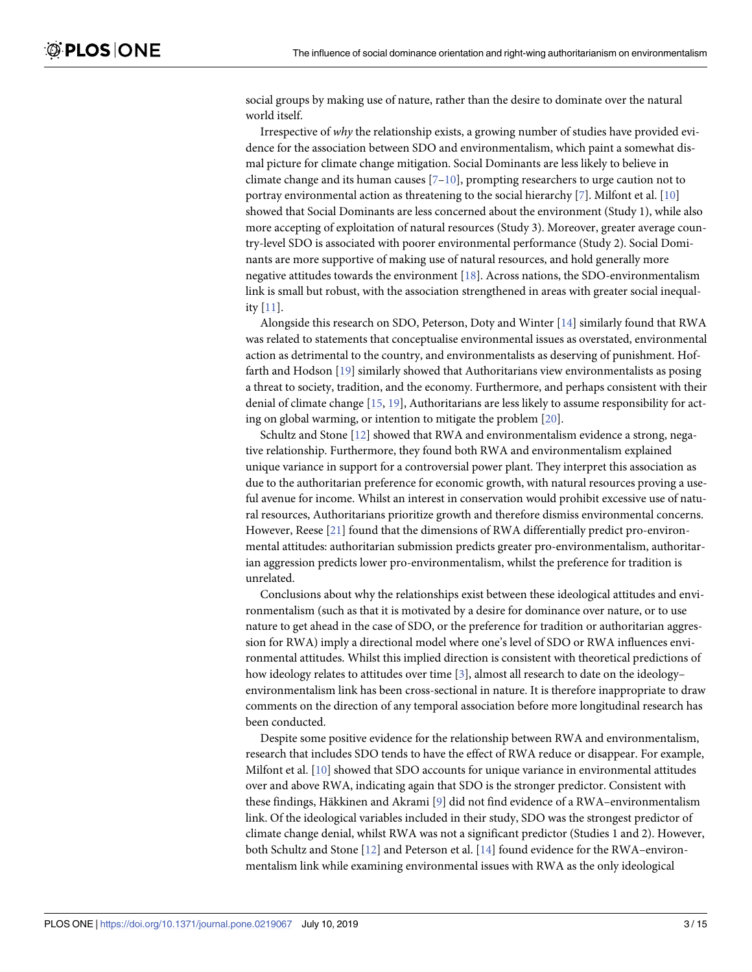<span id="page-2-0"></span>social groups by making use of nature, rather than the desire to dominate over the natural world itself.

Irrespective of *why* the relationship exists, a growing number of studies have provided evidence for the association between SDO and environmentalism, which paint a somewhat dismal picture for climate change mitigation. Social Dominants are less likely to believe in climate change and its human causes  $[7-10]$ , prompting researchers to urge caution not to portray environmental action as threatening to the social hierarchy [\[7](#page-12-0)]. Milfont et al. [[10](#page-12-0)] showed that Social Dominants are less concerned about the environment (Study 1), while also more accepting of exploitation of natural resources (Study 3). Moreover, greater average country-level SDO is associated with poorer environmental performance (Study 2). Social Dominants are more supportive of making use of natural resources, and hold generally more negative attitudes towards the environment [\[18\]](#page-13-0). Across nations, the SDO-environmentalism link is small but robust, with the association strengthened in areas with greater social inequality [[11](#page-12-0)].

Alongside this research on SDO, Peterson, Doty and Winter [[14](#page-12-0)] similarly found that RWA was related to statements that conceptualise environmental issues as overstated, environmental action as detrimental to the country, and environmentalists as deserving of punishment. Hoffarth and Hodson [\[19\]](#page-13-0) similarly showed that Authoritarians view environmentalists as posing a threat to society, tradition, and the economy. Furthermore, and perhaps consistent with their denial of climate change [[15](#page-12-0), [19](#page-13-0)], Authoritarians are less likely to assume responsibility for acting on global warming, or intention to mitigate the problem [\[20\]](#page-13-0).

Schultz and Stone [[12](#page-12-0)] showed that RWA and environmentalism evidence a strong, negative relationship. Furthermore, they found both RWA and environmentalism explained unique variance in support for a controversial power plant. They interpret this association as due to the authoritarian preference for economic growth, with natural resources proving a useful avenue for income. Whilst an interest in conservation would prohibit excessive use of natural resources, Authoritarians prioritize growth and therefore dismiss environmental concerns. However, Reese [[21](#page-13-0)] found that the dimensions of RWA differentially predict pro-environmental attitudes: authoritarian submission predicts greater pro-environmentalism, authoritarian aggression predicts lower pro-environmentalism, whilst the preference for tradition is unrelated.

Conclusions about why the relationships exist between these ideological attitudes and environmentalism (such as that it is motivated by a desire for dominance over nature, or to use nature to get ahead in the case of SDO, or the preference for tradition or authoritarian aggression for RWA) imply a directional model where one's level of SDO or RWA influences environmental attitudes. Whilst this implied direction is consistent with theoretical predictions of how ideology relates to attitudes over time [[3](#page-12-0)], almost all research to date on the ideology– environmentalism link has been cross-sectional in nature. It is therefore inappropriate to draw comments on the direction of any temporal association before more longitudinal research has been conducted.

Despite some positive evidence for the relationship between RWA and environmentalism, research that includes SDO tends to have the effect of RWA reduce or disappear. For example, Milfont et al. [[10](#page-12-0)] showed that SDO accounts for unique variance in environmental attitudes over and above RWA, indicating again that SDO is the stronger predictor. Consistent with these findings, Häkkinen and Akrami [\[9](#page-12-0)] did not find evidence of a RWA–environmentalism link. Of the ideological variables included in their study, SDO was the strongest predictor of climate change denial, whilst RWA was not a significant predictor (Studies 1 and 2). However, both Schultz and Stone [\[12\]](#page-12-0) and Peterson et al. [[14](#page-12-0)] found evidence for the RWA–environmentalism link while examining environmental issues with RWA as the only ideological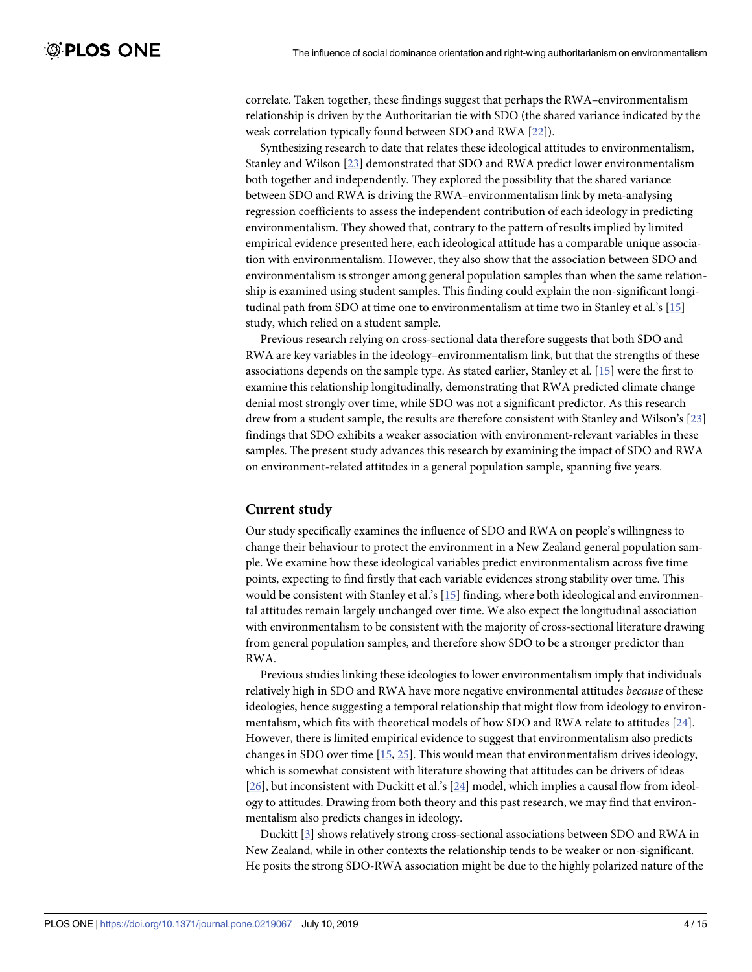<span id="page-3-0"></span>correlate. Taken together, these findings suggest that perhaps the RWA–environmentalism relationship is driven by the Authoritarian tie with SDO (the shared variance indicated by the weak correlation typically found between SDO and RWA [\[22\]](#page-13-0)).

Synthesizing research to date that relates these ideological attitudes to environmentalism, Stanley and Wilson [[23](#page-13-0)] demonstrated that SDO and RWA predict lower environmentalism both together and independently. They explored the possibility that the shared variance between SDO and RWA is driving the RWA–environmentalism link by meta-analysing regression coefficients to assess the independent contribution of each ideology in predicting environmentalism. They showed that, contrary to the pattern of results implied by limited empirical evidence presented here, each ideological attitude has a comparable unique association with environmentalism. However, they also show that the association between SDO and environmentalism is stronger among general population samples than when the same relationship is examined using student samples. This finding could explain the non-significant longitudinal path from SDO at time one to environmentalism at time two in Stanley et al.'s [\[15\]](#page-12-0) study, which relied on a student sample.

Previous research relying on cross-sectional data therefore suggests that both SDO and RWA are key variables in the ideology–environmentalism link, but that the strengths of these associations depends on the sample type. As stated earlier, Stanley et al. [[15](#page-12-0)] were the first to examine this relationship longitudinally, demonstrating that RWA predicted climate change denial most strongly over time, while SDO was not a significant predictor. As this research drew from a student sample, the results are therefore consistent with Stanley and Wilson's [\[23\]](#page-13-0) findings that SDO exhibits a weaker association with environment-relevant variables in these samples. The present study advances this research by examining the impact of SDO and RWA on environment-related attitudes in a general population sample, spanning five years.

#### **Current study**

Our study specifically examines the influence of SDO and RWA on people's willingness to change their behaviour to protect the environment in a New Zealand general population sample. We examine how these ideological variables predict environmentalism across five time points, expecting to find firstly that each variable evidences strong stability over time. This would be consistent with Stanley et al.'s [\[15\]](#page-12-0) finding, where both ideological and environmental attitudes remain largely unchanged over time. We also expect the longitudinal association with environmentalism to be consistent with the majority of cross-sectional literature drawing from general population samples, and therefore show SDO to be a stronger predictor than RWA.

Previous studies linking these ideologies to lower environmentalism imply that individuals relatively high in SDO and RWA have more negative environmental attitudes *because* of these ideologies, hence suggesting a temporal relationship that might flow from ideology to environmentalism, which fits with theoretical models of how SDO and RWA relate to attitudes [[24](#page-13-0)]. However, there is limited empirical evidence to suggest that environmentalism also predicts changes in SDO over time [[15](#page-12-0), [25](#page-13-0)]. This would mean that environmentalism drives ideology, which is somewhat consistent with literature showing that attitudes can be drivers of ideas [\[26\]](#page-13-0), but inconsistent with Duckitt et al.'s [[24](#page-13-0)] model, which implies a causal flow from ideology to attitudes. Drawing from both theory and this past research, we may find that environmentalism also predicts changes in ideology.

Duckitt [\[3\]](#page-12-0) shows relatively strong cross-sectional associations between SDO and RWA in New Zealand, while in other contexts the relationship tends to be weaker or non-significant. He posits the strong SDO-RWA association might be due to the highly polarized nature of the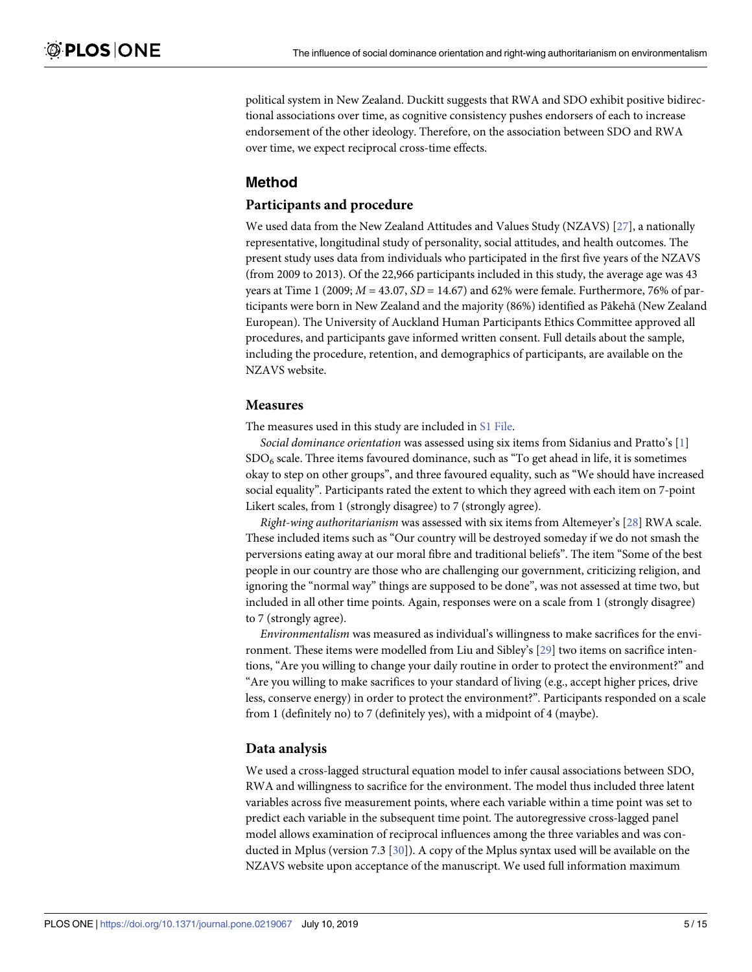<span id="page-4-0"></span>political system in New Zealand. Duckitt suggests that RWA and SDO exhibit positive bidirectional associations over time, as cognitive consistency pushes endorsers of each to increase endorsement of the other ideology. Therefore, on the association between SDO and RWA over time, we expect reciprocal cross-time effects.

## **Method**

#### **Participants and procedure**

We used data from the New Zealand Attitudes and Values Study (NZAVS) [\[27\]](#page-13-0), a nationally representative, longitudinal study of personality, social attitudes, and health outcomes. The present study uses data from individuals who participated in the first five years of the NZAVS (from 2009 to 2013). Of the 22,966 participants included in this study, the average age was 43 years at Time 1 (2009; *M* = 43.07, *SD* = 14.67) and 62% were female. Furthermore, 76% of participants were born in New Zealand and the majority (86%) identified as Pākehā (New Zealand European). The University of Auckland Human Participants Ethics Committee approved all procedures, and participants gave informed written consent. Full details about the sample, including the procedure, retention, and demographics of participants, are available on the NZAVS website.

#### **Measures**

The measures used in this study are included in S1 [File](#page-11-0).

*Social dominance orientation* was assessed using six items from Sidanius and Pratto's [\[1\]](#page-12-0)  $SDO<sub>6</sub>$  scale. Three items favoured dominance, such as "To get ahead in life, it is sometimes okay to step on other groups", and three favoured equality, such as "We should have increased social equality". Participants rated the extent to which they agreed with each item on 7-point Likert scales, from 1 (strongly disagree) to 7 (strongly agree).

*Right-wing authoritarianism* was assessed with six items from Altemeyer's [\[28\]](#page-13-0) RWA scale. These included items such as "Our country will be destroyed someday if we do not smash the perversions eating away at our moral fibre and traditional beliefs". The item "Some of the best people in our country are those who are challenging our government, criticizing religion, and ignoring the "normal way" things are supposed to be done", was not assessed at time two, but included in all other time points. Again, responses were on a scale from 1 (strongly disagree) to 7 (strongly agree).

*Environmentalism* was measured as individual's willingness to make sacrifices for the environment. These items were modelled from Liu and Sibley's [[29](#page-13-0)] two items on sacrifice intentions, "Are you willing to change your daily routine in order to protect the environment?" and "Are you willing to make sacrifices to your standard of living (e.g., accept higher prices, drive less, conserve energy) in order to protect the environment?". Participants responded on a scale from 1 (definitely no) to 7 (definitely yes), with a midpoint of 4 (maybe).

#### **Data analysis**

We used a cross-lagged structural equation model to infer causal associations between SDO, RWA and willingness to sacrifice for the environment. The model thus included three latent variables across five measurement points, where each variable within a time point was set to predict each variable in the subsequent time point. The autoregressive cross-lagged panel model allows examination of reciprocal influences among the three variables and was conducted in Mplus (version 7.3 [[30](#page-13-0)]). A copy of the Mplus syntax used will be available on the NZAVS website upon acceptance of the manuscript. We used full information maximum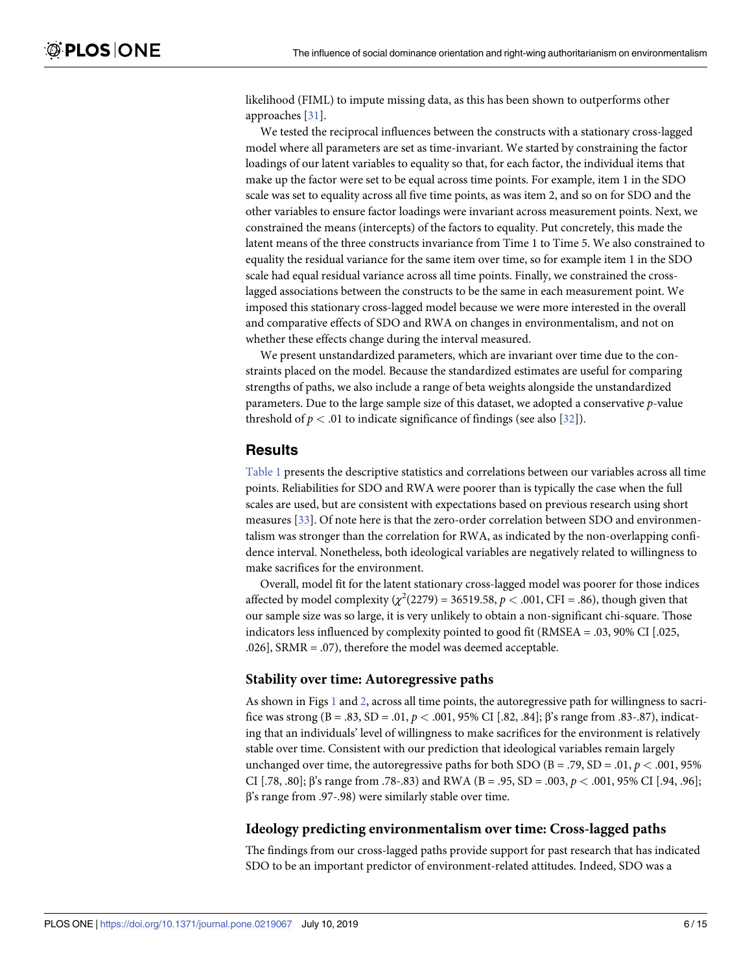<span id="page-5-0"></span>likelihood (FIML) to impute missing data, as this has been shown to outperforms other approaches [[31](#page-13-0)].

We tested the reciprocal influences between the constructs with a stationary cross-lagged model where all parameters are set as time-invariant. We started by constraining the factor loadings of our latent variables to equality so that, for each factor, the individual items that make up the factor were set to be equal across time points. For example, item 1 in the SDO scale was set to equality across all five time points, as was item 2, and so on for SDO and the other variables to ensure factor loadings were invariant across measurement points. Next, we constrained the means (intercepts) of the factors to equality. Put concretely, this made the latent means of the three constructs invariance from Time 1 to Time 5. We also constrained to equality the residual variance for the same item over time, so for example item 1 in the SDO scale had equal residual variance across all time points. Finally, we constrained the crosslagged associations between the constructs to be the same in each measurement point. We imposed this stationary cross-lagged model because we were more interested in the overall and comparative effects of SDO and RWA on changes in environmentalism, and not on whether these effects change during the interval measured.

We present unstandardized parameters, which are invariant over time due to the constraints placed on the model. Because the standardized estimates are useful for comparing strengths of paths, we also include a range of beta weights alongside the unstandardized parameters. Due to the large sample size of this dataset, we adopted a conservative *p*-value threshold of  $p < .01$  to indicate significance of findings (see also [[32](#page-13-0)]).

#### **Results**

[Table](#page-6-0) 1 presents the descriptive statistics and correlations between our variables across all time points. Reliabilities for SDO and RWA were poorer than is typically the case when the full scales are used, but are consistent with expectations based on previous research using short measures [[33](#page-13-0)]. Of note here is that the zero-order correlation between SDO and environmentalism was stronger than the correlation for RWA, as indicated by the non-overlapping confidence interval. Nonetheless, both ideological variables are negatively related to willingness to make sacrifices for the environment.

Overall, model fit for the latent stationary cross-lagged model was poorer for those indices affected by model complexity ( $\chi^2(2279)$  = 36519.58,  $p < .001$ , CFI = .86), though given that our sample size was so large, it is very unlikely to obtain a non-significant chi-square. Those indicators less influenced by complexity pointed to good fit (RMSEA = .03, 90% CI [.025, .026], SRMR = .07), therefore the model was deemed acceptable.

#### **Stability over time: Autoregressive paths**

As shown in Figs [1](#page-7-0) and [2](#page-7-0), across all time points, the autoregressive path for willingness to sacrifice was strong (B = .83, SD = .01, *p <* .001, 95% CI [.82, .84]; β's range from .83-.87), indicating that an individuals' level of willingness to make sacrifices for the environment is relatively stable over time. Consistent with our prediction that ideological variables remain largely unchanged over time, the autoregressive paths for both SDO ( $B = .79$ ,  $SD = .01$ ,  $p < .001$ , 95% CI [.78, .80]; β's range from .78-.83) and RWA (B = .95, SD = .003,  $p < .001$ , 95% CI [.94, .96]; β's range from .97-.98) were similarly stable over time.

#### **Ideology predicting environmentalism over time: Cross-lagged paths**

The findings from our cross-lagged paths provide support for past research that has indicated SDO to be an important predictor of environment-related attitudes. Indeed, SDO was a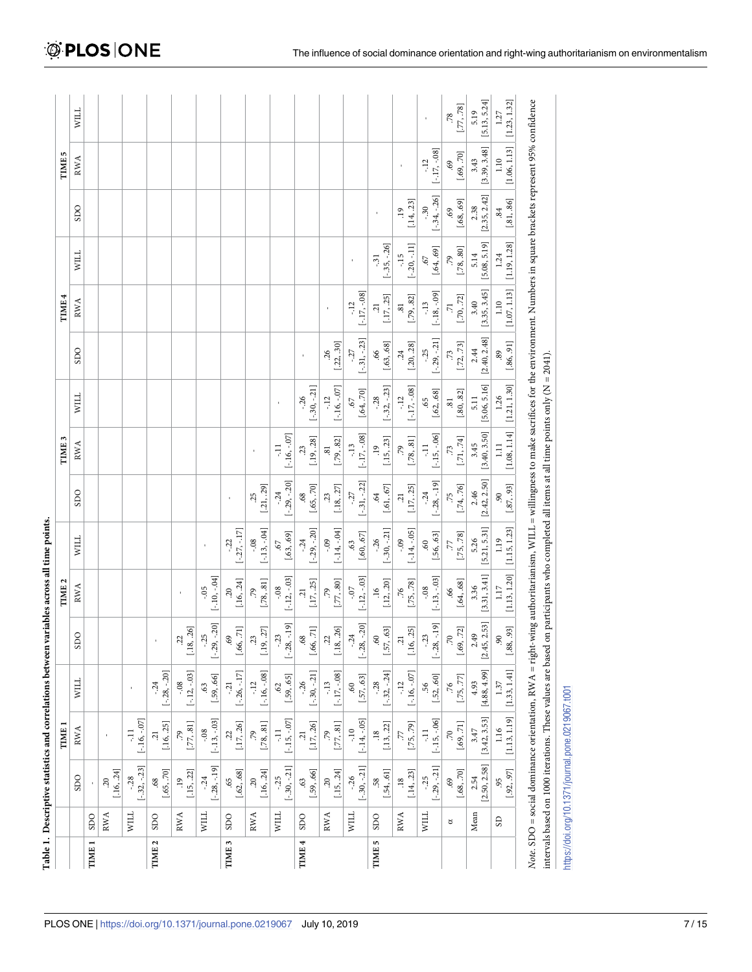|                   |              | Table 1. Descriptive statistics and correlations between variables across all time points.                                             |                                  |                           |                               |                                         |                                                                                                                                                                                                   |                              |                                               |                         |                         |                                                                 |                         |                                                        |                         |                      |
|-------------------|--------------|----------------------------------------------------------------------------------------------------------------------------------------|----------------------------------|---------------------------|-------------------------------|-----------------------------------------|---------------------------------------------------------------------------------------------------------------------------------------------------------------------------------------------------|------------------------------|-----------------------------------------------|-------------------------|-------------------------|-----------------------------------------------------------------|-------------------------|--------------------------------------------------------|-------------------------|----------------------|
|                   |              |                                                                                                                                        | TIME                             |                           |                               | TIME <sub>2</sub>                       |                                                                                                                                                                                                   |                              | TIME <sub>3</sub>                             |                         |                         | TIME <sub>4</sub>                                               |                         |                                                        | ю<br>TIME               |                      |
|                   |              | OCIS                                                                                                                                   | <b>RWA</b>                       | WILL                      | <b>OGS</b>                    | <b>RWA</b>                              | WILL                                                                                                                                                                                              | <b>OCR</b>                   | <b>RWA</b>                                    | niim                    | <b>OGS</b>              | <b>RWA</b>                                                      | NIILL                   | <b>OCIS</b>                                            | <b>RWA</b>              | WILL                 |
| TIME <sub>1</sub> | OCIS         |                                                                                                                                        |                                  |                           |                               |                                         |                                                                                                                                                                                                   |                              |                                               |                         |                         |                                                                 |                         |                                                        |                         |                      |
|                   | <b>RWA</b>   | [.16, .24]<br>20                                                                                                                       |                                  |                           |                               |                                         |                                                                                                                                                                                                   |                              |                                               |                         |                         |                                                                 |                         |                                                        |                         |                      |
|                   | <b>WILL</b>  | $[-.32, -.23]$<br>$-28$                                                                                                                | $[-.16, -.07]$<br>$\overline{z}$ | J.                        |                               |                                         |                                                                                                                                                                                                   |                              |                                               |                         |                         |                                                                 |                         |                                                        |                         |                      |
| TIME <sub>2</sub> | OCIS         | [.65, .70]<br>68                                                                                                                       | [.16, .25]<br>$\overline{21}$    | $[-.28, -.20]$<br>$-24$   |                               |                                         |                                                                                                                                                                                                   |                              |                                               |                         |                         |                                                                 |                         |                                                        |                         |                      |
|                   | <b>RWA</b>   | [.15, .22]<br>.19                                                                                                                      | [.77, .81]<br>.79                | $[-.12, -.03]$<br>$-0.08$ | .26]<br>22<br>[.18,           | $\mathbf{I}$                            |                                                                                                                                                                                                   |                              |                                               |                         |                         |                                                                 |                         |                                                        |                         |                      |
|                   | <b>WILL</b>  |                                                                                                                                        | $-0.08$                          | $\ddot{\circ}$            | 25                            | $-0.5$                                  |                                                                                                                                                                                                   |                              |                                               |                         |                         |                                                                 |                         |                                                        |                         |                      |
|                   |              | $[-.28, -.19]$                                                                                                                         | $[-.13, -.03]$                   | [.59, .66]                | $, -20]$<br>$[-.29,$          | $[-.10, -.04]$                          |                                                                                                                                                                                                   |                              |                                               |                         |                         |                                                                 |                         |                                                        |                         |                      |
| TIME <sub>3</sub> | OCIS         | $[-62, .68]$<br>65                                                                                                                     | [.17, .26]                       | $[-.26, -.17]$<br>$-21$   | [.66, .71]<br>$69$ .          | [.16, .24]<br>20                        | $[-.27, -.17]$<br>$-22$                                                                                                                                                                           | $\mathbf{r}$                 |                                               |                         |                         |                                                                 |                         |                                                        |                         |                      |
|                   | <b>RWA</b>   | [.16, .24]<br>20                                                                                                                       | $[-78, .81]$                     | $[-.16, -.08]$<br>$-12$   | .27<br>.23<br>[.19,           | $\left[ .78, .81 \right]$<br>$\ddot{5}$ | $[-.13, -.04]$<br>$-0.8$                                                                                                                                                                          | [.21, .29]<br>25             |                                               |                         |                         |                                                                 |                         |                                                        |                         |                      |
|                   | WILL         | $-25$                                                                                                                                  | Ę                                | $\overline{62}$           | $-23$                         | $-0.08$                                 | 59.                                                                                                                                                                                               | $-24$                        | $\overline{z}$                                |                         |                         |                                                                 |                         |                                                        |                         |                      |
|                   |              | $[-.30, -.21]$                                                                                                                         | $[-.15, -.07]$                   | [.59, .65]                | $, -19]$<br>$[-.28,$          | $[-.12, -03]$                           | $[-63, .69]$                                                                                                                                                                                      | $[-.29, -.20]$               | $[-.16, -.07]$                                |                         |                         |                                                                 |                         |                                                        |                         |                      |
| TIME 4            | <b>OCIS</b>  | $[-59, .66]$<br>63                                                                                                                     | [.17, .26]<br>$\overline{c}$     | $[-.30, -.21]$<br>$-26$   | [.66, .71]<br>68              | [.17, .25]<br>$\overline{.21}$          | $[-.29, -.20]$<br>$-24$                                                                                                                                                                           | [.65, .70]<br>.68            | [.19, .28]<br>.23                             | $[-.30, -.21]$<br>$-26$ |                         |                                                                 |                         |                                                        |                         |                      |
|                   | <b>RWA</b>   | [.15, .24]<br>20                                                                                                                       | $\left[ .77, .81 \right]$        | $[-.17, -08]$<br>$-13$    | [.18, .26]<br>22              | $\left[ .77, .80 \right]$<br>79         | $[-.14, -.04]$<br>$-0.9$                                                                                                                                                                          | [.18, .27]<br>23             | [.79, .82]<br>$\overline{\phantom{0}}$        | $[-.16, -.07]$<br>$-12$ | [.22, .30]<br>26        |                                                                 |                         |                                                        |                         |                      |
|                   | WILL         | $-26$                                                                                                                                  | $-10$                            | 60.                       | 24                            | $-0.7$                                  | 63                                                                                                                                                                                                | $-27$                        | $-13$                                         | 59.                     | $-27$                   | $-12$                                                           |                         |                                                        |                         |                      |
|                   |              | $[-.30, -.21]$                                                                                                                         | $[-.14, -.05]$                   | [.57, .63]                | $[-.28, -.20]$                | $[-.12, -.03]$                          | [.60, .67]                                                                                                                                                                                        | $[-.31, -.22]$               | $[-.17, -08]$                                 | $[.64, .70]$            | $[-.31, -.23]$          | $[-.17, -.08]$                                                  |                         |                                                        |                         |                      |
| TIME 5            | OCIS         | $-.54, .61]$<br>58                                                                                                                     | [.13, .22]<br>$\overline{.18}$   | $[-32, -24]$<br>$-28$     | [.57, .63]<br>60              | [.12, .20]<br>16                        | $[-.30, -.21]$<br>$-26$                                                                                                                                                                           | [.61, .67]<br>\$9.           | [.15, .23]<br>$\overline{.}$                  | $[-.32, -.23]$<br>$-28$ | $[-63, 68]$<br>.66      | [.17, .25]                                                      | $[-.35, -.26]$<br>$-31$ |                                                        |                         |                      |
|                   | <b>RWA</b>   | [.14, .23]<br>$\frac{18}{1}$                                                                                                           | [.75, .79]<br>77                 | $[-16, -07]$<br>$-12$     | [.16, .25]<br>$\overline{21}$ | [.75, .78]<br>.76                       | $[-.14, -.05]$<br>$60 -$                                                                                                                                                                          | [.17, .25]<br>$-21$          | $\left[ .78, .81 \right]$<br>$\overline{.79}$ | $[-.17, -.08]$<br>$-12$ | [.20, .28]<br>.24       | [.79, .82]<br>$\overline{3}$                                    | $[-.20, -.11]$<br>$-15$ | [.14, .23]<br>$\ddot{5}$                               | ï                       |                      |
|                   | <b>WILL</b>  | $[-.29, -.21]$<br>$-25$                                                                                                                | $[-.15, -.06]$                   | [.52, .60]<br>.56         | $[-.28, -.19]$<br>$-23$       | $[-.13, -.03]$<br>$-0.08$               | $[-56, .63]$<br>60                                                                                                                                                                                | $[-.28, -.19]$<br>$-24$      | $[-.15, -.06]$<br>Ę                           | [.62, .68]<br>-65       | $[-.29, -.21]$<br>$-25$ | $[-.18, -.09]$<br>$-13$                                         | [.64, .69]<br>-67       | $[-.34, -.26]$<br>$-30$                                | $[-.17, -.08]$<br>$-12$ |                      |
|                   | $\mathtt{c}$ | $[-68, 70]$<br>69.                                                                                                                     | [.69, .71]                       | [.75, .77]<br>.76         | [.69, .72]<br>$\overline{C}$  | $[-64, 68]$<br>99.                      | [.75, .78]<br>$\overline{7}$                                                                                                                                                                      | [.74, .76]<br>.75            | [.71, .74]<br>.73                             | [.80, .82]<br>¤         | [.72, .73]<br>73        | [.70, .72]                                                      | $[-78, .80]$<br>.79     | [.68, .69]<br>$\ddot{\text{o}}$                        | [.69, .70]<br>69.       | [.77, .78]<br>.78    |
|                   | Mean         | [2.50, 2.58]<br>2.54                                                                                                                   | [3.42, 3.53]<br>3.47             | [4.88, 4.99]<br>4.93      | [2.45, 2.53]<br>49<br>$\sim$  | [3.31, 3.41]<br>3.36                    | [5.21, 5.31]<br>5.26                                                                                                                                                                              | [2.42, 2.50]<br>2.46         | [3.40, 3.50]<br>3.45                          | [5.06, 5.16]<br>5.11    | [2.40, 2.48]<br>2.44    | [3.35, 3.45]<br>3.40                                            | [5.08, 5.19]<br>5.14    | [2.35, 2.42]<br>2.38                                   | [3.39, 3.48]<br>3.43    | [5.13, 5.24]<br>5.19 |
|                   | GS           | [.92, .97]<br>95                                                                                                                       | [1.13, 1.19]<br>1.16             | [1.33, 1.41]<br>1.37      | $[.88, .93]$<br>$\ddot{6}$    | 1.17                                    | $\begin{bmatrix} 1.13, 1.20 \end{bmatrix}$ [1.15, 1.23]<br>1.19                                                                                                                                   | [.87, .93]<br>$\overline{6}$ | [1.08, 1.14]<br>$\overline{111}$              | [1.21, 1.30]<br>1.26    | [.86, .91]<br>89        | $\begin{bmatrix} 1.07, 1.13 \end{bmatrix}$ [1.19, 1.28]<br>1.10 | 1.24                    | $\left[ .81, .86\right]$<br>$\overline{\mathcal{S}}_4$ | [1.06, 1.13]<br>1.10    | [1.23, 1.32]<br>1.27 |
|                   |              | intervals based on 1000 iterations. These values are based on participants who completed all items at all time points only (N = 2041). |                                  |                           |                               |                                         | Note. $\rm SDO$ = social dominance orientation, RWA = right-wing authoritarianism, WILL = willingness to make sacrifices for the environment. Numbers in square brackets represent 95% confidence |                              |                                               |                         |                         |                                                                 |                         |                                                        |                         |                      |

<span id="page-6-0"></span>**OPLOS ONE** 

<https://doi.org/10.1371/journal.pone.0219067.t001>

https://doi.org/10.1371/journal.pone.0219067.t001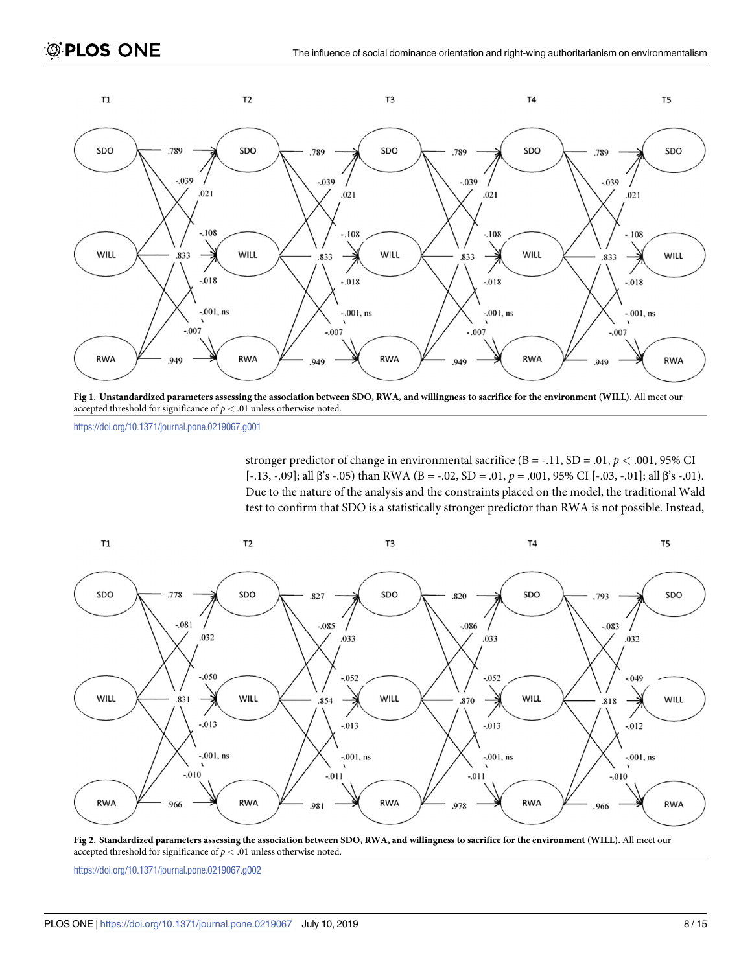<span id="page-7-0"></span>

[Fig](#page-5-0) 1. Unstandardized parameters assessing the association between SDO, RWA, and willingness to sacrifice for the environment (WILL). All meet our accepted threshold for significance of *p <* .01 unless otherwise noted.

<https://doi.org/10.1371/journal.pone.0219067.g001>

stronger predictor of change in environmental sacrifice (B = -.11, SD = .01, *p <* .001, 95% CI [-.13, -.09]; all β's -.05) than RWA (B = -.02, SD = .01,  $p = .001$ , 95% CI [-.03, -.01]; all β's -.01). Due to the nature of the analysis and the constraints placed on the model, the traditional Wald test to confirm that SDO is a statistically stronger predictor than RWA is not possible. Instead,



[Fig](#page-5-0) 2. Standardized parameters assessing the association between SDO, RWA, and willingness to sacrifice for the environment (WILL). All meet our accepted threshold for significance of  $p < 01$  unless otherwise noted.

<https://doi.org/10.1371/journal.pone.0219067.g002>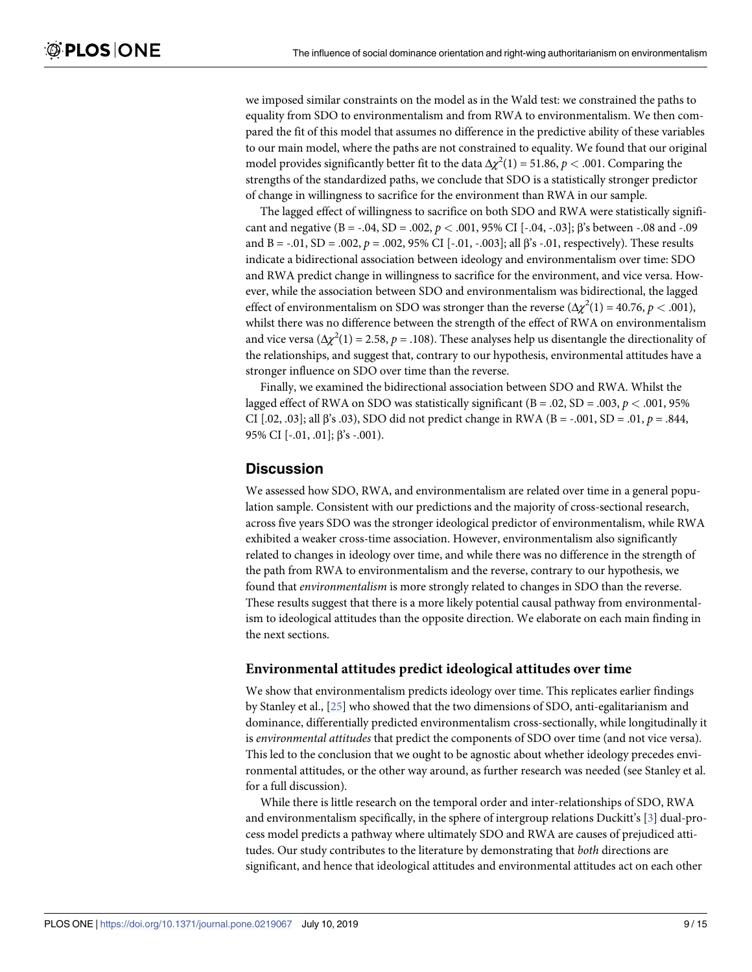we imposed similar constraints on the model as in the Wald test: we constrained the paths to equality from SDO to environmentalism and from RWA to environmentalism. We then compared the fit of this model that assumes no difference in the predictive ability of these variables to our main model, where the paths are not constrained to equality. We found that our original model provides significantly better fit to the data  $\Delta \chi^2(1) = 51.86$ ,  $p < .001$ . Comparing the strengths of the standardized paths, we conclude that SDO is a statistically stronger predictor of change in willingness to sacrifice for the environment than RWA in our sample.

The lagged effect of willingness to sacrifice on both SDO and RWA were statistically significant and negative (B = -.04, SD = .002, *p <* .001, 95% CI [-.04, -.03]; β's between -.08 and -.09 and B = -.01, SD = .002, *p* = .002, 95% CI [-.01, -.003]; all β's -.01, respectively). These results indicate a bidirectional association between ideology and environmentalism over time: SDO and RWA predict change in willingness to sacrifice for the environment, and vice versa. However, while the association between SDO and environmentalism was bidirectional, the lagged effect of environmentalism on SDO was stronger than the reverse  $(\Delta \chi^2(1) = 40.76, p < .001)$ , whilst there was no difference between the strength of the effect of RWA on environmentalism and vice versa ( $\Delta \chi^2(1) = 2.58$ ,  $p = .108$ ). These analyses help us disentangle the directionality of the relationships, and suggest that, contrary to our hypothesis, environmental attitudes have a stronger influence on SDO over time than the reverse.

Finally, we examined the bidirectional association between SDO and RWA. Whilst the lagged effect of RWA on SDO was statistically significant (B = .02, SD = .003, *p <* .001, 95% CI [.02, .03]; all β's .03), SDO did not predict change in RWA (B = -.001, SD = .01, *p* = .844, 95% CI [-.01, .01]; β's -.001).

## **Discussion**

We assessed how SDO, RWA, and environmentalism are related over time in a general population sample. Consistent with our predictions and the majority of cross-sectional research, across five years SDO was the stronger ideological predictor of environmentalism, while RWA exhibited a weaker cross-time association. However, environmentalism also significantly related to changes in ideology over time, and while there was no difference in the strength of the path from RWA to environmentalism and the reverse, contrary to our hypothesis, we found that *environmentalism* is more strongly related to changes in SDO than the reverse. These results suggest that there is a more likely potential causal pathway from environmentalism to ideological attitudes than the opposite direction. We elaborate on each main finding in the next sections.

#### **Environmental attitudes predict ideological attitudes over time**

We show that environmentalism predicts ideology over time. This replicates earlier findings by Stanley et al., [\[25\]](#page-13-0) who showed that the two dimensions of SDO, anti-egalitarianism and dominance, differentially predicted environmentalism cross-sectionally, while longitudinally it is *environmental attitudes* that predict the components of SDO over time (and not vice versa). This led to the conclusion that we ought to be agnostic about whether ideology precedes environmental attitudes, or the other way around, as further research was needed (see Stanley et al. for a full discussion).

While there is little research on the temporal order and inter-relationships of SDO, RWA and environmentalism specifically, in the sphere of intergroup relations Duckitt's [\[3](#page-12-0)] dual-process model predicts a pathway where ultimately SDO and RWA are causes of prejudiced attitudes. Our study contributes to the literature by demonstrating that *both* directions are significant, and hence that ideological attitudes and environmental attitudes act on each other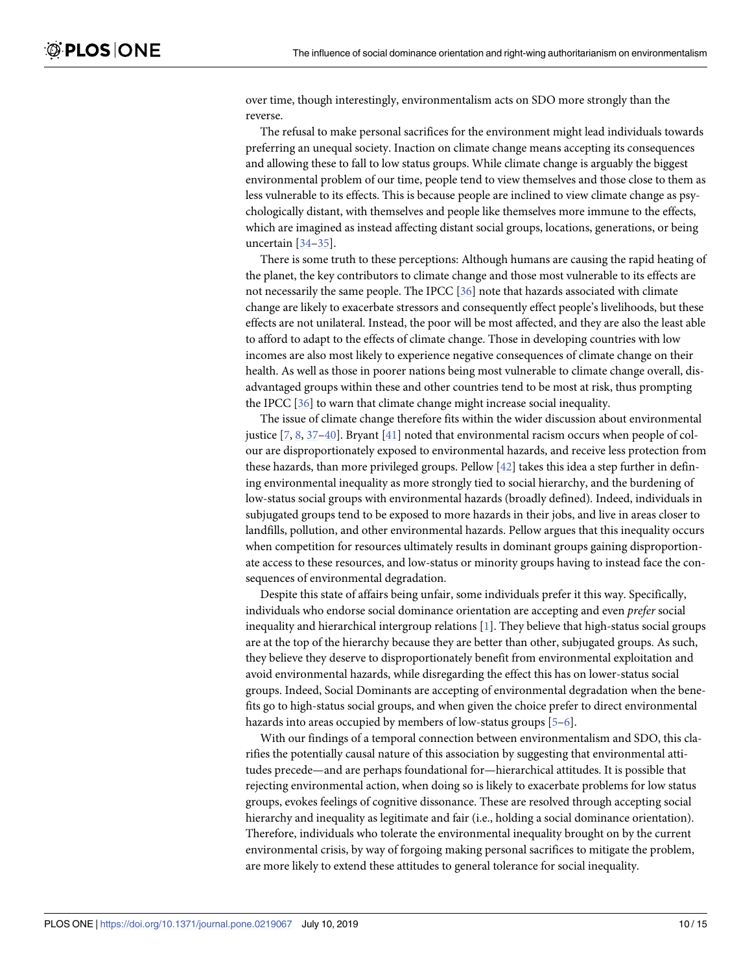<span id="page-9-0"></span>over time, though interestingly, environmentalism acts on SDO more strongly than the reverse.

The refusal to make personal sacrifices for the environment might lead individuals towards preferring an unequal society. Inaction on climate change means accepting its consequences and allowing these to fall to low status groups. While climate change is arguably the biggest environmental problem of our time, people tend to view themselves and those close to them as less vulnerable to its effects. This is because people are inclined to view climate change as psychologically distant, with themselves and people like themselves more immune to the effects, which are imagined as instead affecting distant social groups, locations, generations, or being uncertain [\[34–35](#page-13-0)].

There is some truth to these perceptions: Although humans are causing the rapid heating of the planet, the key contributors to climate change and those most vulnerable to its effects are not necessarily the same people. The IPCC [[36](#page-13-0)] note that hazards associated with climate change are likely to exacerbate stressors and consequently effect people's livelihoods, but these effects are not unilateral. Instead, the poor will be most affected, and they are also the least able to afford to adapt to the effects of climate change. Those in developing countries with low incomes are also most likely to experience negative consequences of climate change on their health. As well as those in poorer nations being most vulnerable to climate change overall, disadvantaged groups within these and other countries tend to be most at risk, thus prompting the IPCC [[36](#page-13-0)] to warn that climate change might increase social inequality.

The issue of climate change therefore fits within the wider discussion about environmental justice [\[7,](#page-12-0) [8](#page-12-0), [37–40\]](#page-13-0). Bryant [\[41\]](#page-13-0) noted that environmental racism occurs when people of colour are disproportionately exposed to environmental hazards, and receive less protection from these hazards, than more privileged groups. Pellow  $[42]$  takes this idea a step further in defining environmental inequality as more strongly tied to social hierarchy, and the burdening of low-status social groups with environmental hazards (broadly defined). Indeed, individuals in subjugated groups tend to be exposed to more hazards in their jobs, and live in areas closer to landfills, pollution, and other environmental hazards. Pellow argues that this inequality occurs when competition for resources ultimately results in dominant groups gaining disproportionate access to these resources, and low-status or minority groups having to instead face the consequences of environmental degradation.

Despite this state of affairs being unfair, some individuals prefer it this way. Specifically, individuals who endorse social dominance orientation are accepting and even *prefer* social inequality and hierarchical intergroup relations  $[1]$  $[1]$ . They believe that high-status social groups are at the top of the hierarchy because they are better than other, subjugated groups. As such, they believe they deserve to disproportionately benefit from environmental exploitation and avoid environmental hazards, while disregarding the effect this has on lower-status social groups. Indeed, Social Dominants are accepting of environmental degradation when the benefits go to high-status social groups, and when given the choice prefer to direct environmental hazards into areas occupied by members of low-status groups [[5–6](#page-12-0)].

With our findings of a temporal connection between environmentalism and SDO, this clarifies the potentially causal nature of this association by suggesting that environmental attitudes precede—and are perhaps foundational for—hierarchical attitudes. It is possible that rejecting environmental action, when doing so is likely to exacerbate problems for low status groups, evokes feelings of cognitive dissonance. These are resolved through accepting social hierarchy and inequality as legitimate and fair (i.e., holding a social dominance orientation). Therefore, individuals who tolerate the environmental inequality brought on by the current environmental crisis, by way of forgoing making personal sacrifices to mitigate the problem, are more likely to extend these attitudes to general tolerance for social inequality.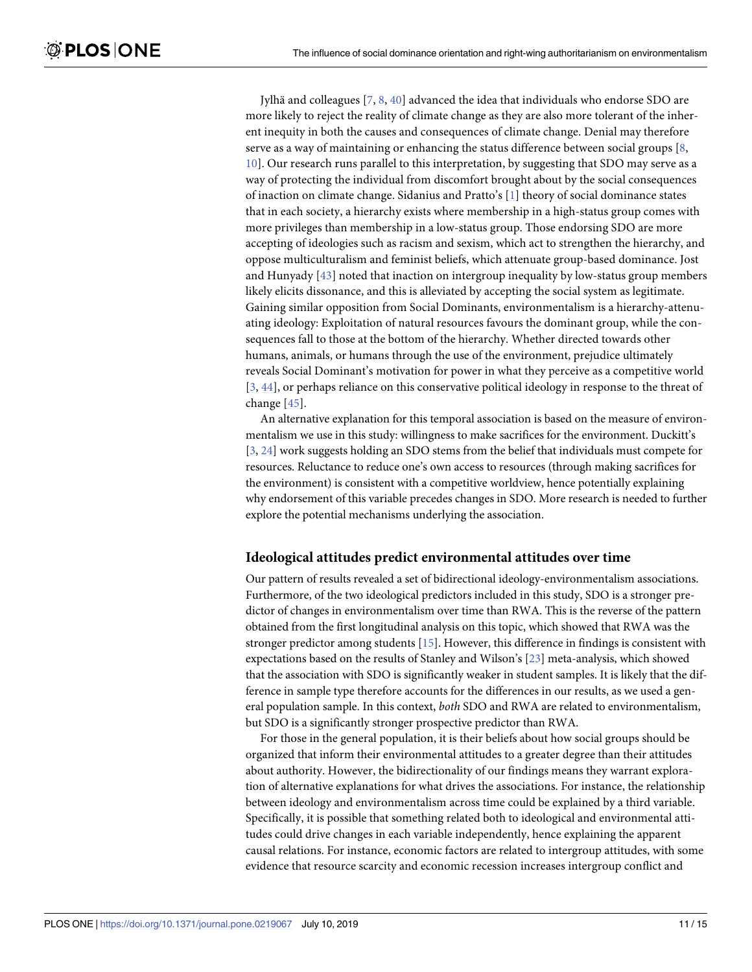<span id="page-10-0"></span>Jylhä and colleagues  $[7, 8, 40]$  $[7, 8, 40]$  $[7, 8, 40]$  $[7, 8, 40]$  $[7, 8, 40]$  $[7, 8, 40]$  $[7, 8, 40]$  advanced the idea that individuals who endorse SDO are more likely to reject the reality of climate change as they are also more tolerant of the inherent inequity in both the causes and consequences of climate change. Denial may therefore serve as a way of maintaining or enhancing the status difference between social groups [\[8](#page-12-0), [10\]](#page-12-0). Our research runs parallel to this interpretation, by suggesting that SDO may serve as a way of protecting the individual from discomfort brought about by the social consequences of inaction on climate change. Sidanius and Pratto's [[1\]](#page-12-0) theory of social dominance states that in each society, a hierarchy exists where membership in a high-status group comes with more privileges than membership in a low-status group. Those endorsing SDO are more accepting of ideologies such as racism and sexism, which act to strengthen the hierarchy, and oppose multiculturalism and feminist beliefs, which attenuate group-based dominance. Jost and Hunyady [[43](#page-14-0)] noted that inaction on intergroup inequality by low-status group members likely elicits dissonance, and this is alleviated by accepting the social system as legitimate. Gaining similar opposition from Social Dominants, environmentalism is a hierarchy-attenuating ideology: Exploitation of natural resources favours the dominant group, while the consequences fall to those at the bottom of the hierarchy. Whether directed towards other humans, animals, or humans through the use of the environment, prejudice ultimately reveals Social Dominant's motivation for power in what they perceive as a competitive world [\[3](#page-12-0), [44](#page-14-0)], or perhaps reliance on this conservative political ideology in response to the threat of change [\[45\]](#page-14-0).

An alternative explanation for this temporal association is based on the measure of environmentalism we use in this study: willingness to make sacrifices for the environment. Duckitt's [\[3](#page-12-0), [24](#page-13-0)] work suggests holding an SDO stems from the belief that individuals must compete for resources. Reluctance to reduce one's own access to resources (through making sacrifices for the environment) is consistent with a competitive worldview, hence potentially explaining why endorsement of this variable precedes changes in SDO. More research is needed to further explore the potential mechanisms underlying the association.

#### **Ideological attitudes predict environmental attitudes over time**

Our pattern of results revealed a set of bidirectional ideology-environmentalism associations. Furthermore, of the two ideological predictors included in this study, SDO is a stronger predictor of changes in environmentalism over time than RWA. This is the reverse of the pattern obtained from the first longitudinal analysis on this topic, which showed that RWA was the stronger predictor among students [[15](#page-12-0)]. However, this difference in findings is consistent with expectations based on the results of Stanley and Wilson's [[23](#page-13-0)] meta-analysis, which showed that the association with SDO is significantly weaker in student samples. It is likely that the difference in sample type therefore accounts for the differences in our results, as we used a general population sample. In this context, *both* SDO and RWA are related to environmentalism, but SDO is a significantly stronger prospective predictor than RWA.

For those in the general population, it is their beliefs about how social groups should be organized that inform their environmental attitudes to a greater degree than their attitudes about authority. However, the bidirectionality of our findings means they warrant exploration of alternative explanations for what drives the associations. For instance, the relationship between ideology and environmentalism across time could be explained by a third variable. Specifically, it is possible that something related both to ideological and environmental attitudes could drive changes in each variable independently, hence explaining the apparent causal relations. For instance, economic factors are related to intergroup attitudes, with some evidence that resource scarcity and economic recession increases intergroup conflict and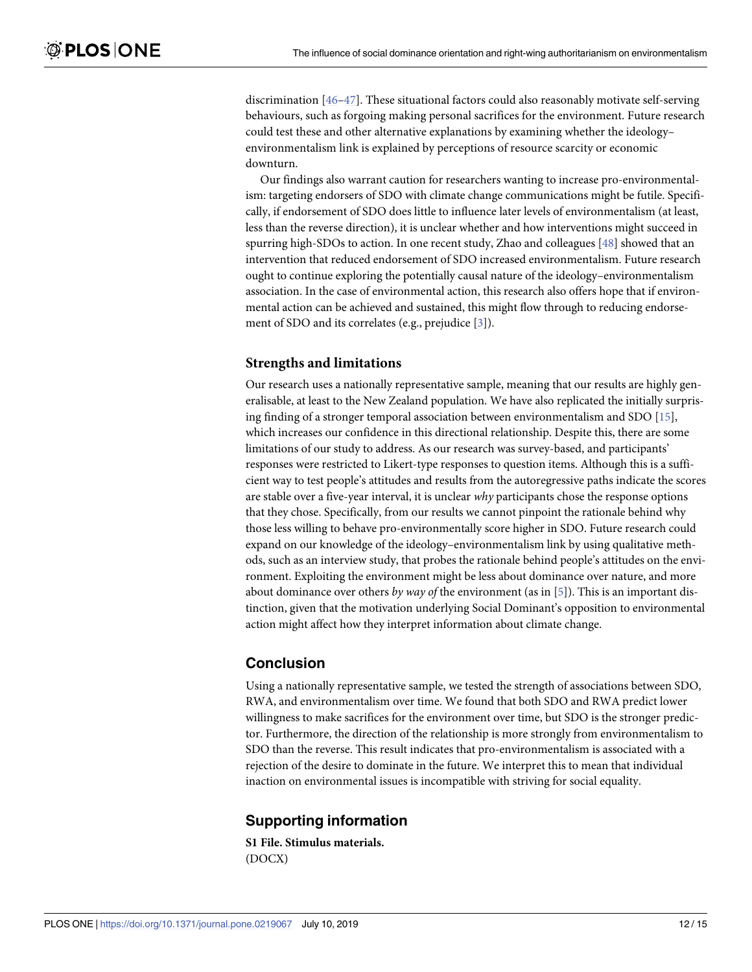<span id="page-11-0"></span>discrimination [\[46–47\]](#page-14-0). These situational factors could also reasonably motivate self-serving behaviours, such as forgoing making personal sacrifices for the environment. Future research could test these and other alternative explanations by examining whether the ideology– environmentalism link is explained by perceptions of resource scarcity or economic downturn.

Our findings also warrant caution for researchers wanting to increase pro-environmentalism: targeting endorsers of SDO with climate change communications might be futile. Specifically, if endorsement of SDO does little to influence later levels of environmentalism (at least, less than the reverse direction), it is unclear whether and how interventions might succeed in spurring high-SDOs to action. In one recent study, Zhao and colleagues [\[48\]](#page-14-0) showed that an intervention that reduced endorsement of SDO increased environmentalism. Future research ought to continue exploring the potentially causal nature of the ideology–environmentalism association. In the case of environmental action, this research also offers hope that if environmental action can be achieved and sustained, this might flow through to reducing endorsement of SDO and its correlates (e.g., prejudice [[3\]](#page-12-0)).

#### **Strengths and limitations**

Our research uses a nationally representative sample, meaning that our results are highly generalisable, at least to the New Zealand population. We have also replicated the initially surprising finding of a stronger temporal association between environmentalism and SDO [[15](#page-12-0)], which increases our confidence in this directional relationship. Despite this, there are some limitations of our study to address. As our research was survey-based, and participants' responses were restricted to Likert-type responses to question items. Although this is a sufficient way to test people's attitudes and results from the autoregressive paths indicate the scores are stable over a five-year interval, it is unclear *why* participants chose the response options that they chose. Specifically, from our results we cannot pinpoint the rationale behind why those less willing to behave pro-environmentally score higher in SDO. Future research could expand on our knowledge of the ideology–environmentalism link by using qualitative methods, such as an interview study, that probes the rationale behind people's attitudes on the environment. Exploiting the environment might be less about dominance over nature, and more about dominance over others *by way of* the environment (as in [\[5](#page-12-0)]). This is an important distinction, given that the motivation underlying Social Dominant's opposition to environmental action might affect how they interpret information about climate change.

## **Conclusion**

Using a nationally representative sample, we tested the strength of associations between SDO, RWA, and environmentalism over time. We found that both SDO and RWA predict lower willingness to make sacrifices for the environment over time, but SDO is the stronger predictor. Furthermore, the direction of the relationship is more strongly from environmentalism to SDO than the reverse. This result indicates that pro-environmentalism is associated with a rejection of the desire to dominate in the future. We interpret this to mean that individual inaction on environmental issues is incompatible with striving for social equality.

## **Supporting information**

**S1 [File.](http://www.plosone.org/article/fetchSingleRepresentation.action?uri=info:doi/10.1371/journal.pone.0219067.s001) Stimulus materials.** (DOCX)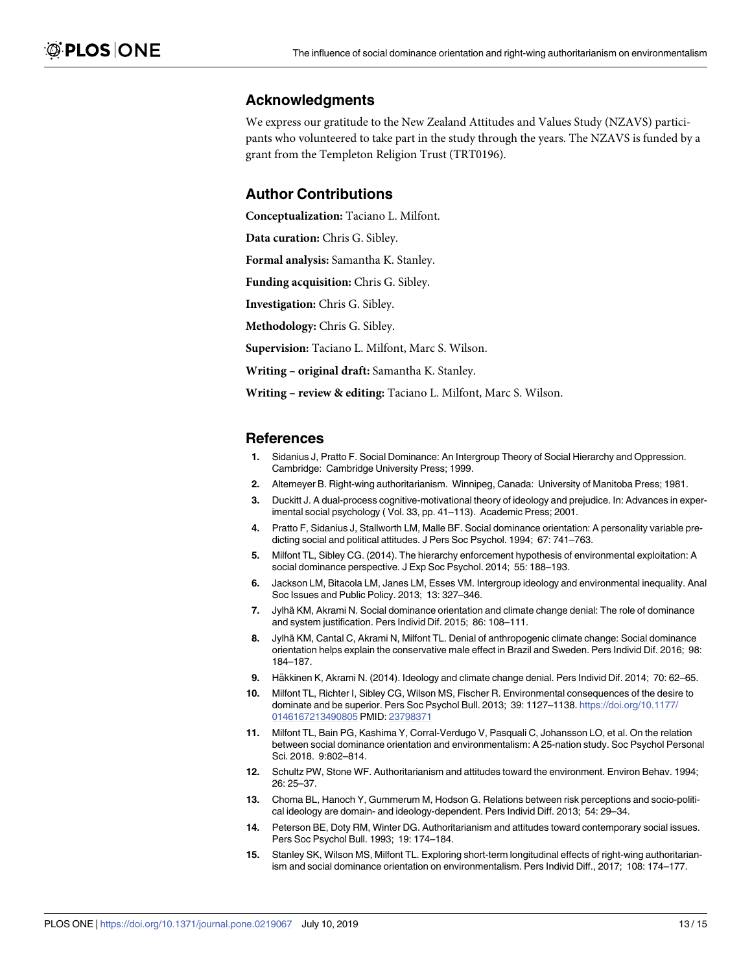### <span id="page-12-0"></span>**Acknowledgments**

We express our gratitude to the New Zealand Attitudes and Values Study (NZAVS) participants who volunteered to take part in the study through the years. The NZAVS is funded by a grant from the Templeton Religion Trust (TRT0196).

### **Author Contributions**

**Conceptualization:** Taciano L. Milfont.

**Data curation:** Chris G. Sibley.

**Formal analysis:** Samantha K. Stanley.

**Funding acquisition:** Chris G. Sibley.

**Investigation:** Chris G. Sibley.

**Methodology:** Chris G. Sibley.

**Supervision:** Taciano L. Milfont, Marc S. Wilson.

**Writing – original draft:** Samantha K. Stanley.

**Writing – review & editing:** Taciano L. Milfont, Marc S. Wilson.

#### **References**

- **[1](#page-0-0).** Sidanius J, Pratto F. Social Dominance: An Intergroup Theory of Social Hierarchy and Oppression. Cambridge: Cambridge University Press; 1999.
- **[2](#page-0-0).** Altemeyer B. Right-wing authoritarianism. Winnipeg, Canada: University of Manitoba Press; 1981.
- **[3](#page-0-0).** Duckitt J. A dual-process cognitive-motivational theory of ideology and prejudice. In: Advances in experimental social psychology ( Vol. 33, pp. 41–113). Academic Press; 2001.
- **[4](#page-0-0).** Pratto F, Sidanius J, Stallworth LM, Malle BF. Social dominance orientation: A personality variable predicting social and political attitudes. J Pers Soc Psychol. 1994; 67: 741–763.
- **[5](#page-0-0).** Milfont TL, Sibley CG. (2014). The hierarchy enforcement hypothesis of environmental exploitation: A social dominance perspective. J Exp Soc Psychol. 2014; 55: 188–193.
- **[6](#page-0-0).** Jackson LM, Bitacola LM, Janes LM, Esses VM. Intergroup ideology and environmental inequality. Anal Soc Issues and Public Policy. 2013; 13: 327–346.
- **[7](#page-0-0).** Jylhä KM, Akrami N. Social dominance orientation and climate change denial: The role of dominance and system justification. Pers Individ Dif. 2015; 86: 108–111.
- **[8](#page-9-0).** Jylha¨ KM, Cantal C, Akrami N, Milfont TL. Denial of anthropogenic climate change: Social dominance orientation helps explain the conservative male effect in Brazil and Sweden. Pers Individ Dif. 2016; 98: 184–187.
- **[9](#page-2-0).** Häkkinen K, Akrami N. (2014). Ideology and climate change denial. Pers Individ Dif. 2014; 70: 62–65.
- **[10](#page-1-0).** Milfont TL, Richter I, Sibley CG, Wilson MS, Fischer R. Environmental consequences of the desire to dominate and be superior. Pers Soc Psychol Bull. 2013; 39: 1127–1138. [https://doi.org/10.1177/](https://doi.org/10.1177/0146167213490805) [0146167213490805](https://doi.org/10.1177/0146167213490805) PMID: [23798371](http://www.ncbi.nlm.nih.gov/pubmed/23798371)
- **[11](#page-0-0).** Milfont TL, Bain PG, Kashima Y, Corral-Verdugo V, Pasquali C, Johansson LO, et al. On the relation between social dominance orientation and environmentalism: A 25-nation study. Soc Psychol Personal Sci. 2018. 9:802–814.
- **[12](#page-1-0).** Schultz PW, Stone WF. Authoritarianism and attitudes toward the environment. Environ Behav. 1994; 26: 25–37.
- **[13](#page-1-0).** Choma BL, Hanoch Y, Gummerum M, Hodson G. Relations between risk perceptions and socio-political ideology are domain- and ideology-dependent. Pers Individ Diff. 2013; 54: 29–34.
- **[14](#page-1-0).** Peterson BE, Doty RM, Winter DG. Authoritarianism and attitudes toward contemporary social issues. Pers Soc Psychol Bull. 1993; 19: 174–184.
- **[15](#page-1-0).** Stanley SK, Wilson MS, Milfont TL. Exploring short-term longitudinal effects of right-wing authoritarianism and social dominance orientation on environmentalism. Pers Individ Diff., 2017; 108: 174–177.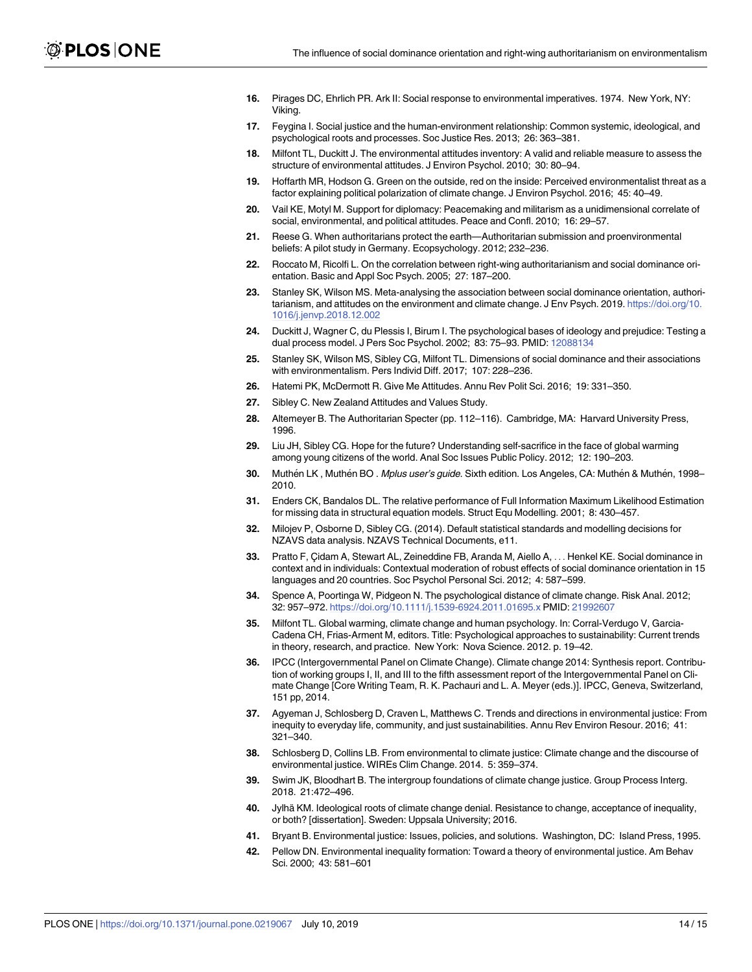- <span id="page-13-0"></span>**[16](#page-1-0).** Pirages DC, Ehrlich PR. Ark II: Social response to environmental imperatives. 1974. New York, NY: Viking.
- **[17](#page-1-0).** Feygina I. Social justice and the human-environment relationship: Common systemic, ideological, and psychological roots and processes. Soc Justice Res. 2013; 26: 363–381.
- **[18](#page-2-0).** Milfont TL, Duckitt J. The environmental attitudes inventory: A valid and reliable measure to assess the structure of environmental attitudes. J Environ Psychol. 2010; 30: 80–94.
- **[19](#page-2-0).** Hoffarth MR, Hodson G. Green on the outside, red on the inside: Perceived environmentalist threat as a factor explaining political polarization of climate change. J Environ Psychol. 2016; 45: 40–49.
- **[20](#page-2-0).** Vail KE, Motyl M. Support for diplomacy: Peacemaking and militarism as a unidimensional correlate of social, environmental, and political attitudes. Peace and Confl. 2010; 16: 29–57.
- **[21](#page-2-0).** Reese G. When authoritarians protect the earth—Authoritarian submission and proenvironmental beliefs: A pilot study in Germany. Ecopsychology. 2012; 232–236.
- **[22](#page-3-0).** Roccato M, Ricolfi L. On the correlation between right-wing authoritarianism and social dominance orientation. Basic and Appl Soc Psych. 2005; 27: 187–200.
- **[23](#page-3-0).** Stanley SK, Wilson MS. Meta-analysing the association between social dominance orientation, authoritarianism, and attitudes on the environment and climate change. J Env Psych. 2019. [https://doi.org/10.](https://doi.org/10.1016/j.jenvp.2018.12.002) [1016/j.jenvp.2018.12.002](https://doi.org/10.1016/j.jenvp.2018.12.002)
- **[24](#page-3-0).** Duckitt J, Wagner C, du Plessis I, Birum I. The psychological bases of ideology and prejudice: Testing a dual process model. J Pers Soc Psychol. 2002; 83: 75–93. PMID: [12088134](http://www.ncbi.nlm.nih.gov/pubmed/12088134)
- **[25](#page-3-0).** Stanley SK, Wilson MS, Sibley CG, Milfont TL. Dimensions of social dominance and their associations with environmentalism. Pers Individ Diff. 2017; 107: 228–236.
- **[26](#page-3-0).** Hatemi PK, McDermott R. Give Me Attitudes. Annu Rev Polit Sci. 2016; 19: 331–350.
- **[27](#page-4-0).** Sibley C. New Zealand Attitudes and Values Study.
- **[28](#page-4-0).** Altemeyer B. The Authoritarian Specter (pp. 112–116). Cambridge, MA: Harvard University Press, 1996.
- **[29](#page-4-0).** Liu JH, Sibley CG. Hope for the future? Understanding self-sacrifice in the face of global warming among young citizens of the world. Anal Soc Issues Public Policy. 2012; 12: 190–203.
- **[30](#page-4-0).** Muthén LK, Muthén BO . Mplus user's quide. Sixth edition. Los Angeles, CA: Muthén & Muthén, 1998– 2010.
- **[31](#page-5-0).** Enders CK, Bandalos DL. The relative performance of Full Information Maximum Likelihood Estimation for missing data in structural equation models. Struct Equ Modelling. 2001; 8: 430–457.
- **[32](#page-5-0).** Milojev P, Osborne D, Sibley CG. (2014). Default statistical standards and modelling decisions for NZAVS data analysis. NZAVS Technical Documents, e11.
- **[33](#page-5-0).** Pratto F, Cidam A, Stewart AL, Zeineddine FB, Aranda M, Aiello A, ... Henkel KE. Social dominance in context and in individuals: Contextual moderation of robust effects of social dominance orientation in 15 languages and 20 countries. Soc Psychol Personal Sci. 2012; 4: 587–599.
- **[34](#page-9-0).** Spence A, Poortinga W, Pidgeon N. The psychological distance of climate change. Risk Anal. 2012; 32: 957–972. <https://doi.org/10.1111/j.1539-6924.2011.01695.x> PMID: [21992607](http://www.ncbi.nlm.nih.gov/pubmed/21992607)
- **[35](#page-9-0).** Milfont TL. Global warming, climate change and human psychology. In: Corral-Verdugo V, Garcia-Cadena CH, Frias-Arment M, editors. Title: Psychological approaches to sustainability: Current trends in theory, research, and practice. New York: Nova Science. 2012. p. 19–42.
- **[36](#page-9-0).** IPCC (Intergovernmental Panel on Climate Change). Climate change 2014: Synthesis report. Contribution of working groups I, II, and III to the fifth assessment report of the Intergovernmental Panel on Climate Change [Core Writing Team, R. K. Pachauri and L. A. Meyer (eds.)]. IPCC, Geneva, Switzerland, 151 pp, 2014.
- **[37](#page-9-0).** Agyeman J, Schlosberg D, Craven L, Matthews C. Trends and directions in environmental justice: From inequity to everyday life, community, and just sustainabilities. Annu Rev Environ Resour. 2016; 41: 321–340.
- **38.** Schlosberg D, Collins LB. From environmental to climate justice: Climate change and the discourse of environmental justice. WIREs Clim Change. 2014. 5: 359–374.
- **39.** Swim JK, Bloodhart B. The intergroup foundations of climate change justice. Group Process Interg. 2018. 21:472–496.
- **[40](#page-9-0).** Jylhä KM. Ideological roots of climate change denial. Resistance to change, acceptance of inequality, or both? [dissertation]. Sweden: Uppsala University; 2016.
- **[41](#page-9-0).** Bryant B. Environmental justice: Issues, policies, and solutions. Washington, DC: Island Press, 1995.
- **[42](#page-9-0).** Pellow DN. Environmental inequality formation: Toward a theory of environmental justice. Am Behav Sci. 2000; 43: 581–601